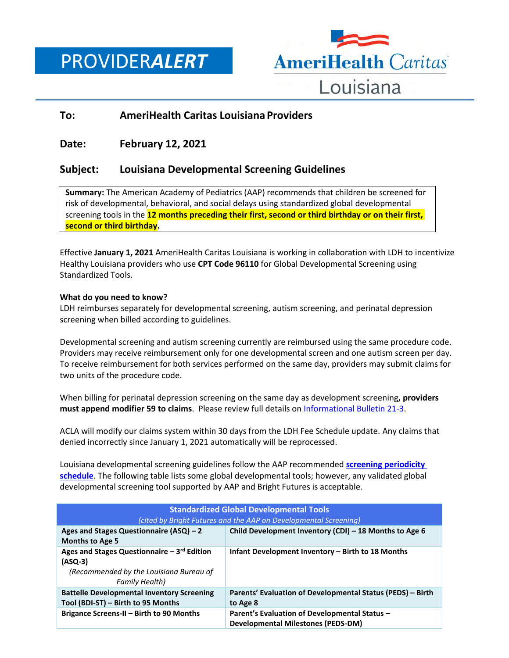PROVIDER*ALERT*



# **To: AmeriHealth Caritas Louisiana Providers**

# **Date: February 12, 2021**

# **Subject: Louisiana Developmental Screening Guidelines**

**Summary:** The American Academy of Pediatrics (AAP) recommends that children be screened for risk of developmental, behavioral, and social delays using standardized global developmental screening tools in the **12 months preceding their first, second or third birthday or on their first, second or third birthday.**

Effective **January 1, 2021** AmeriHealth Caritas Louisiana is working in collaboration with LDH to incentivize Healthy Louisiana providers who use **CPT Code 96110** for Global Developmental Screening using Standardized Tools.

### **What do you need to know?**

LDH reimburses separately for developmental screening, autism screening, and perinatal depression screening when billed according to guidelines.

Developmental screening and autism screening currently are reimbursed using the same procedure code. Providers may receive reimbursement only for one developmental screen and one autism screen per day. To receive reimbursement for both services performed on the same day, providers may submit claims for two units of the procedure code.

When billing for perinatal depression screening on the same day as development screening**, providers must append modifier 59 to claims**. Please review full details on [Informational Bulletin 21-3.](https://ldh.la.gov/assets/docs/BayouHealth/Informational_Bulletins/2021/IB21-3.pdf)

ACLA will modify our claims system within 30 days from the LDH Fee Schedule update. Any claims that denied incorrectly since January 1, 2021 automatically will be reprocessed.

Louisiana developmental screening guidelines follow the AAP recommended **[screening periodicity](https://www.amerihealthcaritasla.com/pdf/provider/pediatric-periodicity-schedule.pdf)  [schedule](https://www.amerihealthcaritasla.com/pdf/provider/pediatric-periodicity-schedule.pdf)**. The following table lists some global developmental tools; however, any validated global developmental screening tool supported by AAP and Bright Futures is acceptable.

| <b>Standardized Global Developmental Tools</b>                                                                              |                                                                                            |  |
|-----------------------------------------------------------------------------------------------------------------------------|--------------------------------------------------------------------------------------------|--|
| (cited by Bright Futures and the AAP on Developmental Screening)                                                            |                                                                                            |  |
| Ages and Stages Questionnaire (ASQ) - 2<br><b>Months to Age 5</b>                                                           | Child Development Inventory (CDI) - 18 Months to Age 6                                     |  |
| Ages and Stages Questionnaire $-3rd$ Edition<br>(ASQ-3)<br>(Recommended by the Louisiana Bureau of<br><b>Family Health)</b> | Infant Development Inventory - Birth to 18 Months                                          |  |
| <b>Battelle Developmental Inventory Screening</b><br>Tool (BDI-ST) - Birth to 95 Months                                     | Parents' Evaluation of Developmental Status (PEDS) – Birth<br>to Age 8                     |  |
| Brigance Screens-II - Birth to 90 Months                                                                                    | Parent's Evaluation of Developmental Status -<br><b>Developmental Milestones (PEDS-DM)</b> |  |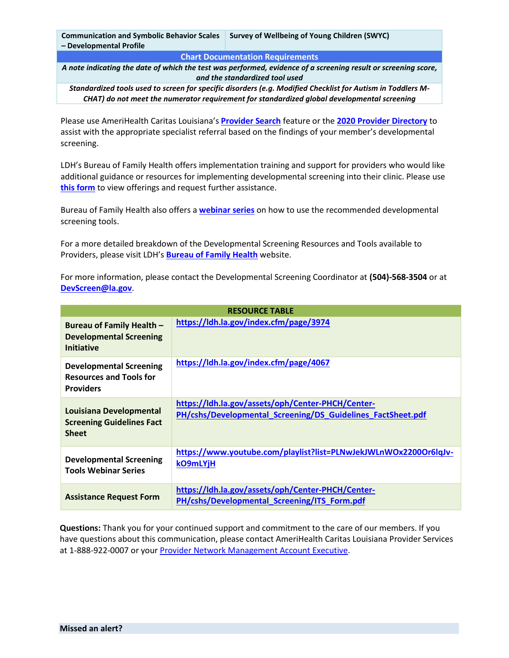|                         | Communication and Symbolic Behavior Scales   Survey of Wellbeing of Young Children (SWYC) |
|-------------------------|-------------------------------------------------------------------------------------------|
| - Developmental Profile |                                                                                           |

#### **Chart Documentation Requirements**

*A note indicating the date of which the test was performed, evidence of a screening result or screening score, and the standardized tool used*

*Standardized tools used to screen for specific disorders (e.g. Modified Checklist for Autism in Toddlers M-CHAT) do not meet the numerator requirement for standardized global developmental screening*

Please use AmeriHealth Caritas Louisiana's **[Provider Search](https://amerihealthcaritasla.healthsparq.com/healthsparq/public/#/one/city=&state=&postalCode=&country=&insurerCode=ACLA_I&brandCode=ACLA&alphaPrefix=&bcbsaProductId=&productCode=2100)** feature or the **[2020 Provider Directory](https://www.amerihealthcaritasla.com/pdf/provider/provider-directory.pdf)** to assist with the appropriate specialist referral based on the findings of your member's developmental screening.

LDH's Bureau of Family Health offers implementation training and support for providers who would like additional guidance or resources for implementing developmental screening into their clinic. Please use **[this form](https://ldh.la.gov/assets/oph/Center-PHCH/Center-PH/cshs/Developmental_Screening/ITS_Form.pdf)** to view offerings and request further assistance.

Bureau of Family Health also offers a **[webinar series](https://www.youtube.com/playlist?list=PLNwJekJWLnWOx2200Or6lqJv-kO9mLYjH)** on how to use the recommended developmental screening tools.

For a more detailed breakdown of the Developmental Screening Resources and Tools available to Providers, please visit LDH's **[Bureau of Family Health](https://ldh.la.gov/index.cfm/page/3979)** website.

For more information, please contact the Developmental Screening Coordinator at **(504)-568-3504** or at **[DevScreen@la.gov](mailto:DevScreen@la.gov)**.

| <b>RESOURCE TABLE</b>                                                                |                                                                                                                  |
|--------------------------------------------------------------------------------------|------------------------------------------------------------------------------------------------------------------|
| Bureau of Family Health -<br><b>Developmental Screening</b><br><b>Initiative</b>     | https://ldh.la.gov/index.cfm/page/3974                                                                           |
| <b>Developmental Screening</b><br><b>Resources and Tools for</b><br><b>Providers</b> | https://ldh.la.gov/index.cfm/page/4067                                                                           |
| Louisiana Developmental<br><b>Screening Guidelines Fact</b><br><b>Sheet</b>          | https://ldh.la.gov/assets/oph/Center-PHCH/Center-<br>PH/cshs/Developmental Screening/DS Guidelines FactSheet.pdf |
| <b>Developmental Screening</b><br><b>Tools Webinar Series</b>                        | https://www.youtube.com/playlist?list=PLNwJekJWLnWOx2200Or6lqJv-<br>kO9mLYjH                                     |
| <b>Assistance Request Form</b>                                                       | https://ldh.la.gov/assets/oph/Center-PHCH/Center-<br>PH/cshs/Developmental Screening/ITS Form.pdf                |

**Questions:** Thank you for your continued support and commitment to the care of our members. If you have questions about this communication, please contact AmeriHealth Caritas Louisiana Provider Services at 1-888-922-0007 or your [Provider Network Management Account Executive.](http://www.amerihealthcaritasla.com/pdf/provider/account-executives.pdf)